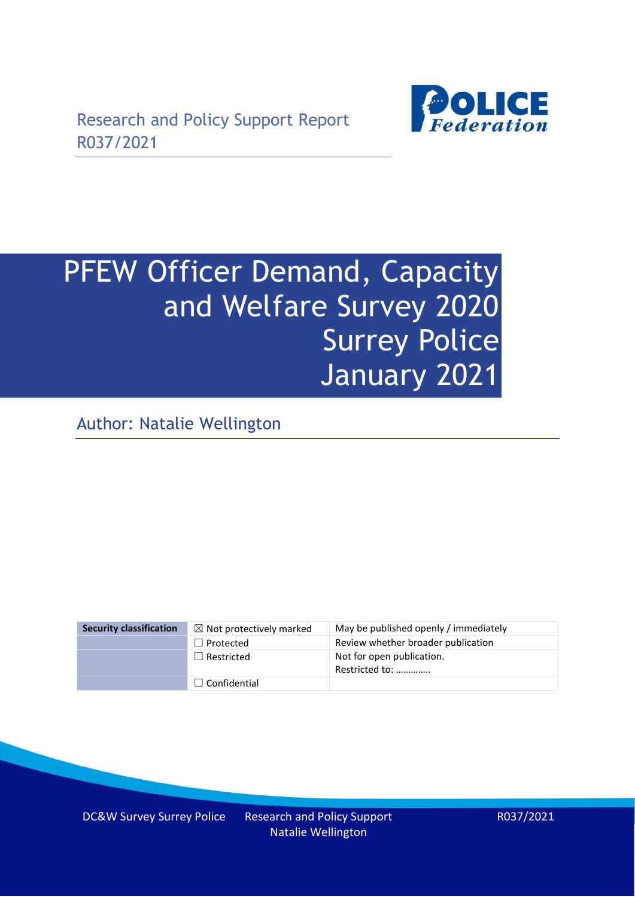

# PFEW Officer Demand, Capacity and Welfare Survey 2020 Surrey Police January 2021

Author: Natalie Wellington

| <b>Security classification</b> | $\boxtimes$ Not protectively marked | May be published openly / immediately       |
|--------------------------------|-------------------------------------|---------------------------------------------|
|                                | $\Box$ Protected                    | Review whether broader publication          |
|                                | $\Box$ Restricted                   | Not for open publication.<br>Restricted to: |
|                                | $\Box$ Confidential                 |                                             |

DC&W Survey Surrey Police Research and Policy Support

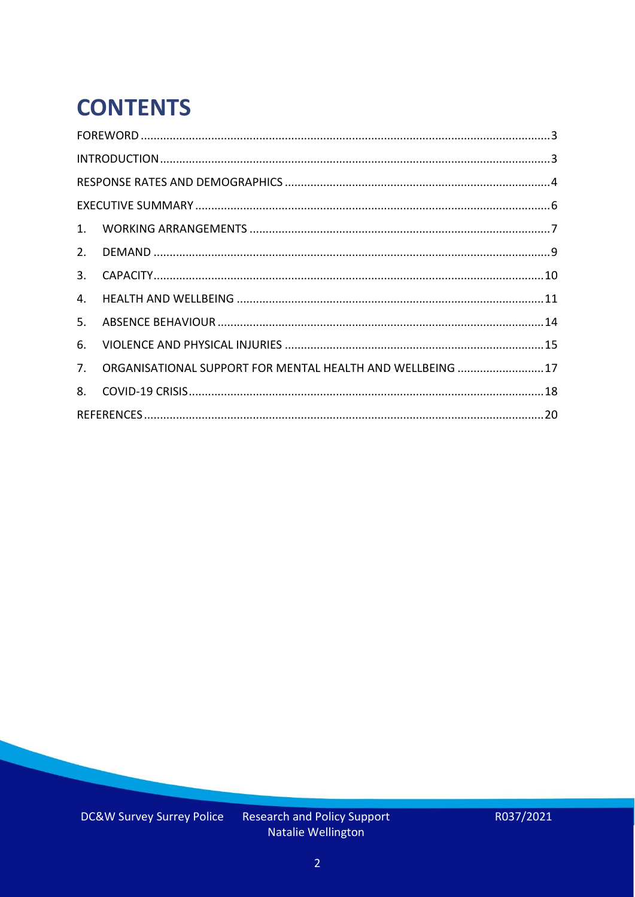# **CONTENTS**

| 2.          |                                                            |  |
|-------------|------------------------------------------------------------|--|
| 3.          |                                                            |  |
| 4.          |                                                            |  |
| 5.          |                                                            |  |
| 6.          |                                                            |  |
| $7_{\cdot}$ | ORGANISATIONAL SUPPORT FOR MENTAL HEALTH AND WELLBEING  17 |  |
| 8.          |                                                            |  |
|             |                                                            |  |

Research and Policy Support<br>Natalie Wellington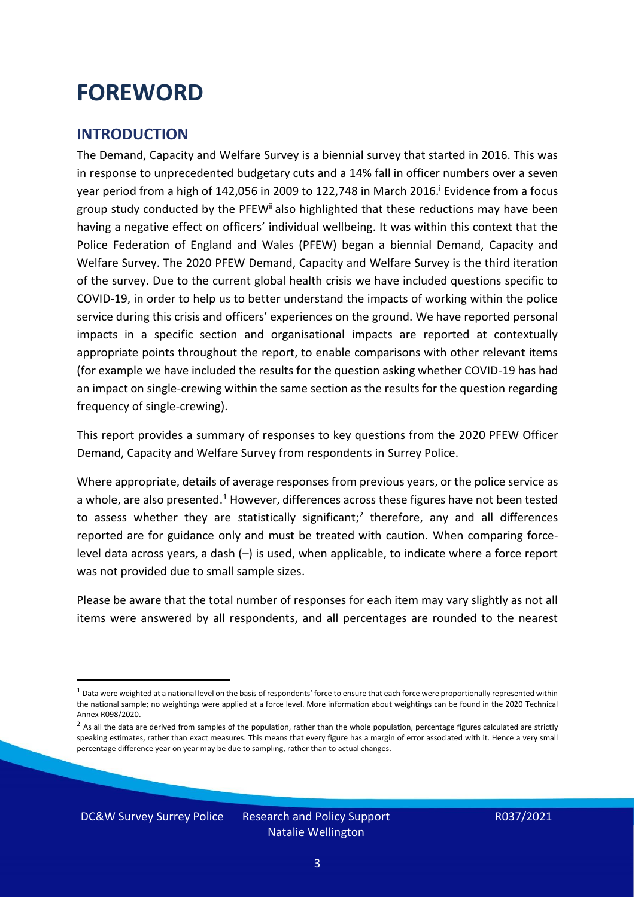### <span id="page-2-0"></span>**FOREWORD**

#### <span id="page-2-1"></span>**INTRODUCTION**

The Demand, Capacity and Welfare Survey is a biennial survey that started in 2016. This was in response to unprecedented budgetary cuts and a 14% fall in officer numbers over a seven year period from a high of 142,056 in 2009 to 122,748 in March 2016. <sup>i</sup> Evidence from a focus group study conducted by the PFEW<sup>ii</sup> also highlighted that these reductions may have been having a negative effect on officers' individual wellbeing. It was within this context that the Police Federation of England and Wales (PFEW) began a biennial Demand, Capacity and Welfare Survey. The 2020 PFEW Demand, Capacity and Welfare Survey is the third iteration of the survey. Due to the current global health crisis we have included questions specific to COVID-19, in order to help us to better understand the impacts of working within the police service during this crisis and officers' experiences on the ground. We have reported personal impacts in a specific section and organisational impacts are reported at contextually appropriate points throughout the report, to enable comparisons with other relevant items (for example we have included the results for the question asking whether COVID-19 has had an impact on single-crewing within the same section as the results for the question regarding frequency of single-crewing).

This report provides a summary of responses to key questions from the 2020 PFEW Officer Demand, Capacity and Welfare Survey from respondents in Surrey Police.

Where appropriate, details of average responses from previous years, or the police service as a whole, are also presented.<sup>1</sup> However, differences across these figures have not been tested to assess whether they are statistically significant;<sup>2</sup> therefore, any and all differences reported are for guidance only and must be treated with caution. When comparing forcelevel data across years, a dash (–) is used, when applicable, to indicate where a force report was not provided due to small sample sizes.

Please be aware that the total number of responses for each item may vary slightly as not all items were answered by all respondents, and all percentages are rounded to the nearest

DC&W Survey Surrey Police Research and Policy Support

 $1$  Data were weighted at a national level on the basis of respondents' force to ensure that each force were proportionally represented within the national sample; no weightings were applied at a force level. More information about weightings can be found in the 2020 Technical Annex R098/2020.

 $2$  As all the data are derived from samples of the population, rather than the whole population, percentage figures calculated are strictly speaking estimates, rather than exact measures. This means that every figure has a margin of error associated with it. Hence a very small percentage difference year on year may be due to sampling, rather than to actual changes.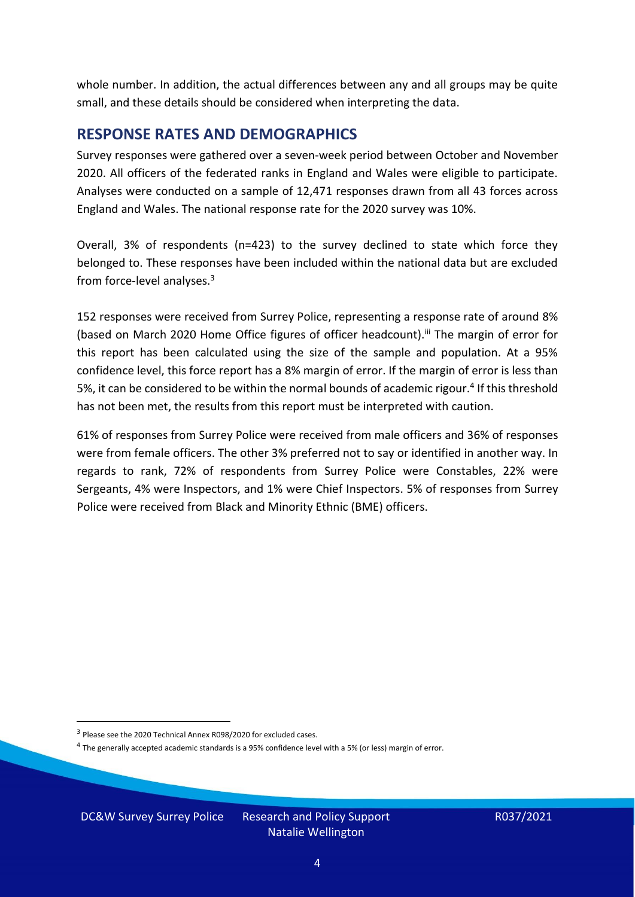whole number. In addition, the actual differences between any and all groups may be quite small, and these details should be considered when interpreting the data.

#### <span id="page-3-0"></span>**RESPONSE RATES AND DEMOGRAPHICS**

Survey responses were gathered over a seven-week period between October and November 2020. All officers of the federated ranks in England and Wales were eligible to participate. Analyses were conducted on a sample of 12,471 responses drawn from all 43 forces across England and Wales. The national response rate for the 2020 survey was 10%.

Overall, 3% of respondents (n=423) to the survey declined to state which force they belonged to. These responses have been included within the national data but are excluded from force-level analyses. $3$ 

152 responses were received from Surrey Police, representing a response rate of around 8% (based on March 2020 Home Office figures of officer headcount).<sup>iii</sup> The margin of error for this report has been calculated using the size of the sample and population. At a 95% confidence level, this force report has a 8% margin of error. If the margin of error is less than 5%, it can be considered to be within the normal bounds of academic rigour.<sup>4</sup> If this threshold has not been met, the results from this report must be interpreted with caution.

61% of responses from Surrey Police were received from male officers and 36% of responses were from female officers. The other 3% preferred not to say or identified in another way. In regards to rank, 72% of respondents from Surrey Police were Constables, 22% were Sergeants, 4% were Inspectors, and 1% were Chief Inspectors. 5% of responses from Surrey Police were received from Black and Minority Ethnic (BME) officers.

DC&W Survey Surrey Police Research and Policy Support

<sup>&</sup>lt;sup>3</sup> Please see the 2020 Technical Annex R098/2020 for excluded cases.

<sup>&</sup>lt;sup>4</sup> The generally accepted academic standards is a 95% confidence level with a 5% (or less) margin of error.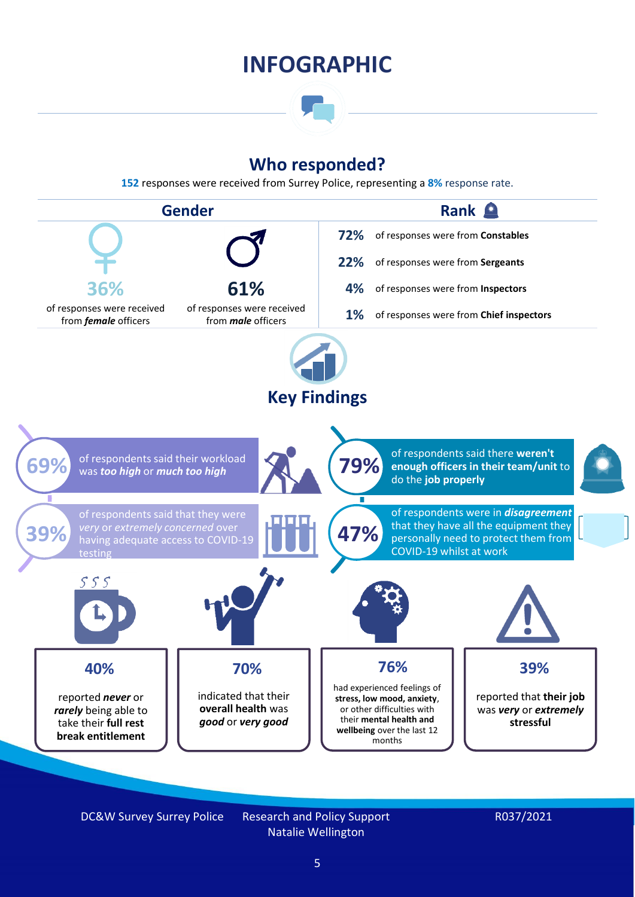### **INFOGRAPHIC**

### **Who responded?**

**152** responses were received from Surrey Police, representing a **8%** response rate.



DC&W Survey Surrey Police Research and Policy Support

Natalie Wellington

#### R037/2021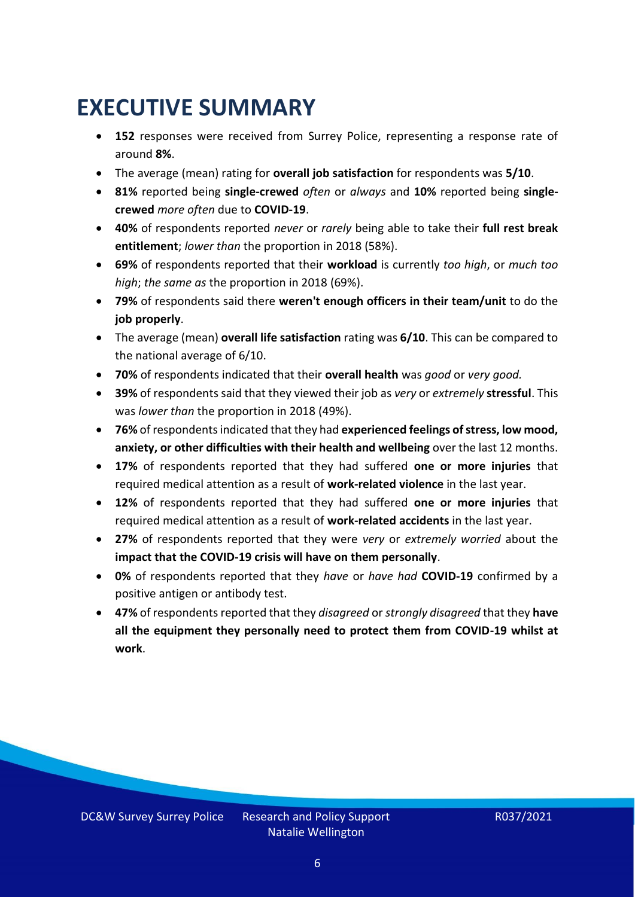### <span id="page-5-0"></span>**EXECUTIVE SUMMARY**

- **152** responses were received from Surrey Police, representing a response rate of around **8%**.
- The average (mean) rating for **overall job satisfaction** for respondents was **5/10**.
- **81%** reported being **single-crewed** *often* or *always* and **10%** reported being **singlecrewed** *more often* due to **COVID-19**.
- **40%** of respondents reported *never* or *rarely* being able to take their **full rest break entitlement**; *lower than* the proportion in 2018 (58%).
- **69%** of respondents reported that their **workload** is currently *too high*, or *much too high*; *the same as* the proportion in 2018 (69%).
- **79%** of respondents said there **weren't enough officers in their team/unit** to do the **job properly**.
- The average (mean) **overall life satisfaction** rating was **6/10**. This can be compared to the national average of 6/10.
- **70%** of respondents indicated that their **overall health** was *good* or *very good.*
- **39%** of respondents said that they viewed their job as *very* or *extremely* **stressful**. This was *lower than* the proportion in 2018 (49%).
- **76%** of respondents indicated that they had **experienced feelings of stress, low mood, anxiety, or other difficulties with their health and wellbeing** over the last 12 months.
- **17%** of respondents reported that they had suffered **one or more injuries** that required medical attention as a result of **work-related violence** in the last year.
- **12%** of respondents reported that they had suffered **one or more injuries** that required medical attention as a result of **work-related accidents** in the last year.
- **27%** of respondents reported that they were *very* or *extremely worried* about the **impact that the COVID-19 crisis will have on them personally**.
- **0%** of respondents reported that they *have* or *have had* **COVID-19** confirmed by a positive antigen or antibody test.
- **47%** of respondents reported that they *disagreed* or *strongly disagreed* that they **have all the equipment they personally need to protect them from COVID-19 whilst at work**.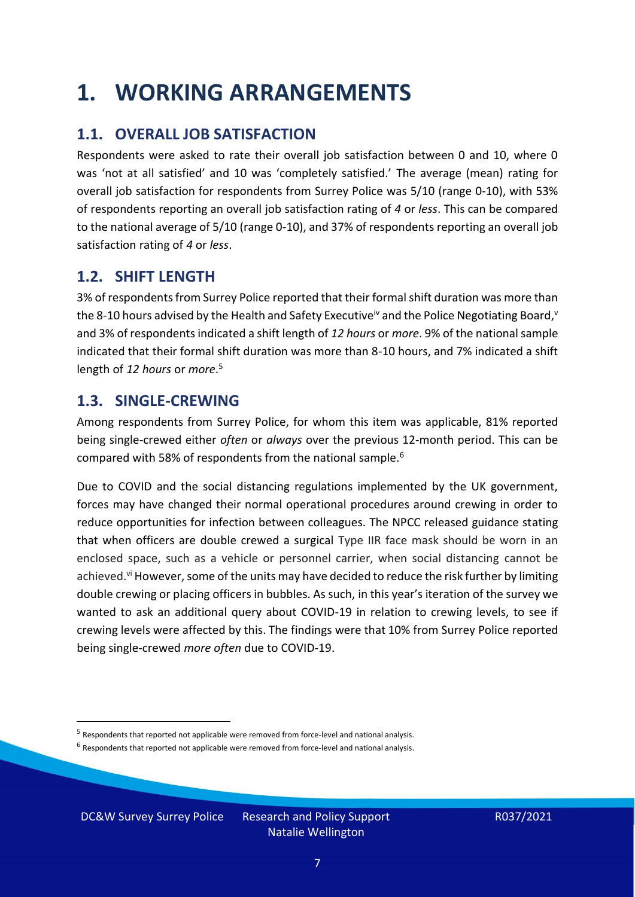### <span id="page-6-0"></span>**1. WORKING ARRANGEMENTS**

### **1.1. OVERALL JOB SATISFACTION**

Respondents were asked to rate their overall job satisfaction between 0 and 10, where 0 was 'not at all satisfied' and 10 was 'completely satisfied.' The average (mean) rating for overall job satisfaction for respondents from Surrey Police was 5/10 (range 0-10), with 53% of respondents reporting an overall job satisfaction rating of *4* or *less*. This can be compared to the national average of 5/10 (range 0-10), and 37% of respondents reporting an overall job satisfaction rating of *4* or *less*.

### **1.2. SHIFT LENGTH**

3% of respondents from Surrey Police reported that their formal shift duration was more than the 8-10 hours advised by the Health and Safety Executive<sup>iv</sup> and the Police Negotiating Board,<sup>v</sup> and 3% of respondents indicated a shift length of *12 hours* or *more*. 9% of the national sample indicated that their formal shift duration was more than 8-10 hours, and 7% indicated a shift length of *12 hours* or *more*. 5

#### **1.3. SINGLE-CREWING**

Among respondents from Surrey Police, for whom this item was applicable, 81% reported being single-crewed either *often* or *always* over the previous 12-month period. This can be compared with 58% of respondents from the national sample.<sup>6</sup>

Due to COVID and the social distancing regulations implemented by the UK government, forces may have changed their normal operational procedures around crewing in order to reduce opportunities for infection between colleagues. The NPCC released guidance stating that when officers are double crewed a surgical Type IIR face mask should be worn in an enclosed space, such as a vehicle or personnel carrier, when social distancing cannot be achieved.<sup>vi</sup> However, some of the units may have decided to reduce the risk further by limiting double crewing or placing officers in bubbles. As such, in this year's iteration of the survey we wanted to ask an additional query about COVID-19 in relation to crewing levels, to see if crewing levels were affected by this. The findings were that 10% from Surrey Police reported being single-crewed *more often* due to COVID-19.

DC&W Survey Surrey Police Research and Policy Support

<sup>&</sup>lt;sup>5</sup> Respondents that reported not applicable were removed from force-level and national analysis.

 $<sup>6</sup>$  Respondents that reported not applicable were removed from force-level and national analysis.</sup>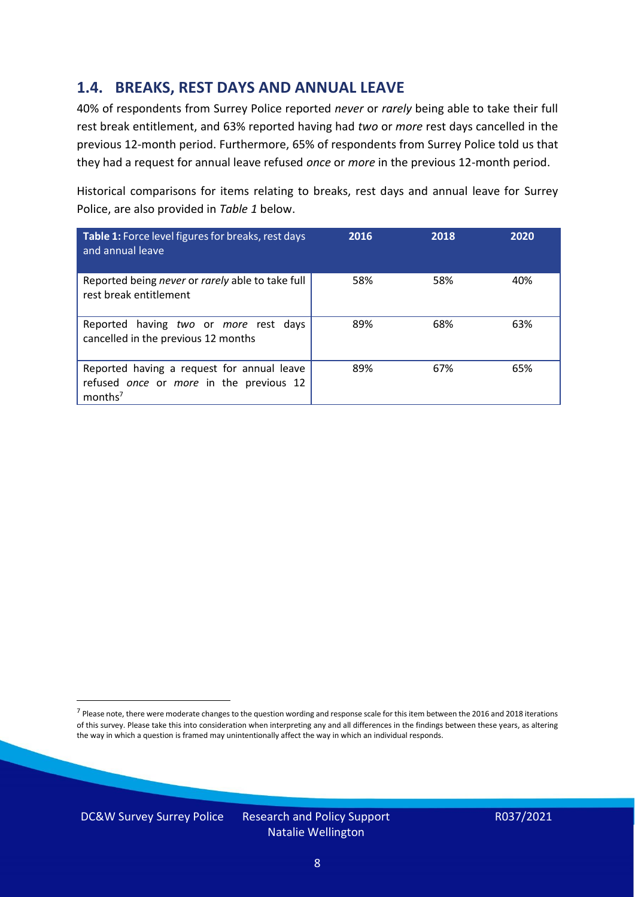### **1.4. BREAKS, REST DAYS AND ANNUAL LEAVE**

40% of respondents from Surrey Police reported *never* or *rarely* being able to take their full rest break entitlement, and 63% reported having had *two* or *more* rest days cancelled in the previous 12-month period. Furthermore, 65% of respondents from Surrey Police told us that they had a request for annual leave refused *once* or *more* in the previous 12-month period.

Historical comparisons for items relating to breaks, rest days and annual leave for Surrey Police, are also provided in *Table 1* below.

| Table 1: Force level figures for breaks, rest days<br>and annual leave                                       | 2016 | 2018 | 2020 |
|--------------------------------------------------------------------------------------------------------------|------|------|------|
| Reported being never or rarely able to take full<br>rest break entitlement                                   | 58%  | 58%  | 40%  |
| Reported having two or more rest days<br>cancelled in the previous 12 months                                 | 89%  | 68%  | 63%  |
| Reported having a request for annual leave<br>refused once or more in the previous 12<br>months <sup>7</sup> | 89%  | 67%  | 65%  |

DC&W Survey Surrey Police Research and Policy Support



<sup>&</sup>lt;sup>7</sup> Please note, there were moderate changes to the question wording and response scale for this item between the 2016 and 2018 iterations of this survey. Please take this into consideration when interpreting any and all differences in the findings between these years, as altering the way in which a question is framed may unintentionally affect the way in which an individual responds.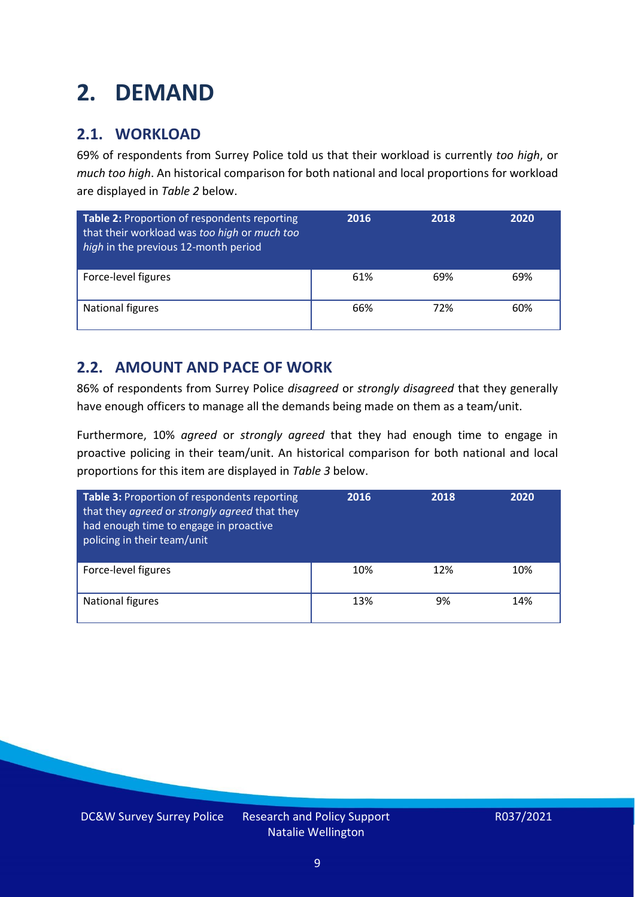### <span id="page-8-0"></span>**2. DEMAND**

### **2.1. WORKLOAD**

69% of respondents from Surrey Police told us that their workload is currently *too high*, or *much too high*. An historical comparison for both national and local proportions for workload are displayed in *Table 2* below.

| Table 2: Proportion of respondents reporting<br>that their workload was too high or much too<br>high in the previous 12-month period | 2016 | 2018 | 2020 |
|--------------------------------------------------------------------------------------------------------------------------------------|------|------|------|
| Force-level figures                                                                                                                  | 61%  | 69%  | 69%  |
| National figures                                                                                                                     | 66%  | 72%  | 60%  |

### **2.2. AMOUNT AND PACE OF WORK**

86% of respondents from Surrey Police *disagreed* or *strongly disagreed* that they generally have enough officers to manage all the demands being made on them as a team/unit.

Furthermore, 10% *agreed* or *strongly agreed* that they had enough time to engage in proactive policing in their team/unit. An historical comparison for both national and local proportions for this item are displayed in *Table 3* below.

| Table 3: Proportion of respondents reporting<br>that they agreed or strongly agreed that they<br>had enough time to engage in proactive<br>policing in their team/unit | 2016 | 2018 | 2020 |
|------------------------------------------------------------------------------------------------------------------------------------------------------------------------|------|------|------|
| Force-level figures                                                                                                                                                    | 10%  | 12%  | 10%  |
| <b>National figures</b>                                                                                                                                                | 13%  | 9%   | 14%  |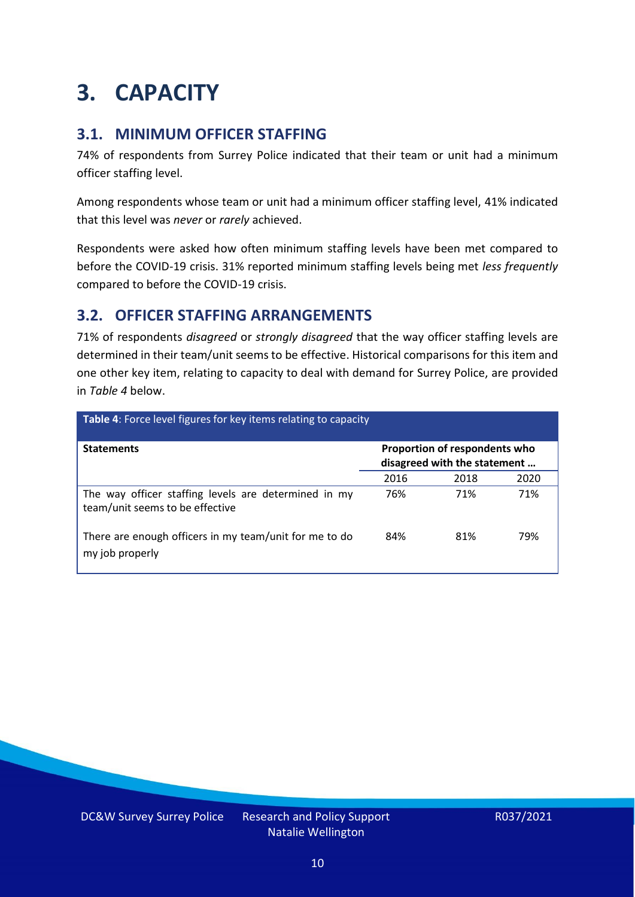### <span id="page-9-0"></span>**3. CAPACITY**

### **3.1. MINIMUM OFFICER STAFFING**

74% of respondents from Surrey Police indicated that their team or unit had a minimum officer staffing level.

Among respondents whose team or unit had a minimum officer staffing level, 41% indicated that this level was *never* or *rarely* achieved.

Respondents were asked how often minimum staffing levels have been met compared to before the COVID-19 crisis. 31% reported minimum staffing levels being met *less frequently* compared to before the COVID-19 crisis.

### **3.2. OFFICER STAFFING ARRANGEMENTS**

71% of respondents *disagreed* or *strongly disagreed* that the way officer staffing levels are determined in their team/unit seems to be effective. Historical comparisons for this item and one other key item, relating to capacity to deal with demand for Surrey Police, are provided in *Table 4* below.

| Table 4: Force level figures for key items relating to capacity                         |                                                               |      |      |  |
|-----------------------------------------------------------------------------------------|---------------------------------------------------------------|------|------|--|
| <b>Statements</b>                                                                       | Proportion of respondents who<br>disagreed with the statement |      |      |  |
|                                                                                         | 2016                                                          | 2018 | 2020 |  |
| The way officer staffing levels are determined in my<br>team/unit seems to be effective | 76%                                                           | 71%  | 71%  |  |
| There are enough officers in my team/unit for me to do<br>my job properly               | 84%                                                           | 81%  | 79%  |  |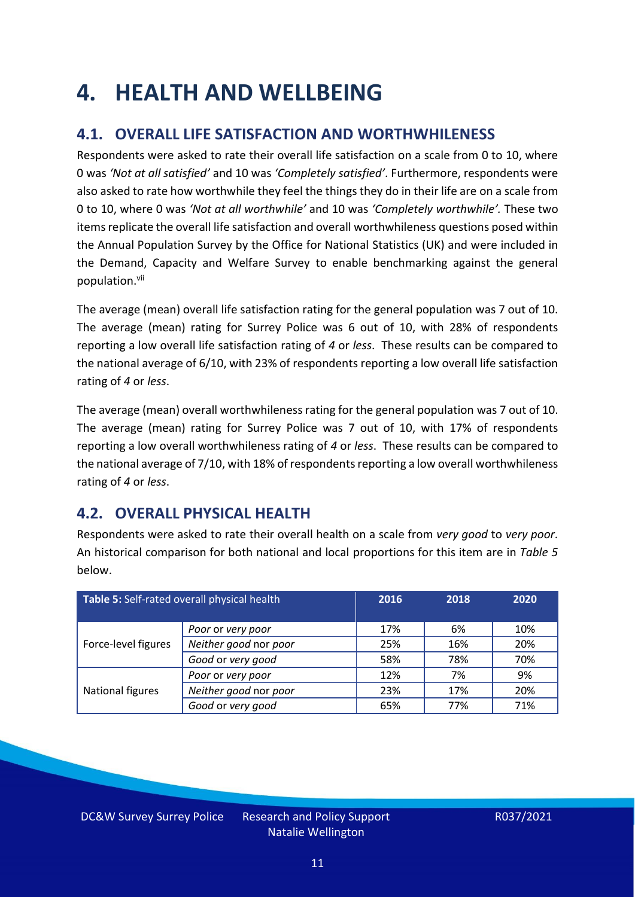### <span id="page-10-0"></span>**4. HEALTH AND WELLBEING**

### **4.1. OVERALL LIFE SATISFACTION AND WORTHWHILENESS**

Respondents were asked to rate their overall life satisfaction on a scale from 0 to 10, where 0 was *'Not at all satisfied'* and 10 was *'Completely satisfied'*. Furthermore, respondents were also asked to rate how worthwhile they feel the things they do in their life are on a scale from 0 to 10, where 0 was *'Not at all worthwhile'* and 10 was *'Completely worthwhile'.* These two items replicate the overall life satisfaction and overall worthwhileness questions posed within the Annual Population Survey by the Office for National Statistics (UK) and were included in the Demand, Capacity and Welfare Survey to enable benchmarking against the general population. vii

The average (mean) overall life satisfaction rating for the general population was 7 out of 10. The average (mean) rating for Surrey Police was 6 out of 10, with 28% of respondents reporting a low overall life satisfaction rating of *4* or *less*. These results can be compared to the national average of 6/10, with 23% of respondents reporting a low overall life satisfaction rating of *4* or *less*.

The average (mean) overall worthwhileness rating for the general population was 7 out of 10. The average (mean) rating for Surrey Police was 7 out of 10, with 17% of respondents reporting a low overall worthwhileness rating of *4* or *less*. These results can be compared to the national average of 7/10, with 18% of respondents reporting a low overall worthwhileness rating of *4* or *less*.

### **4.2. OVERALL PHYSICAL HEALTH**

Respondents were asked to rate their overall health on a scale from *very good* to *very poor*. An historical comparison for both national and local proportions for this item are in *Table 5* below.

| Table 5: Self-rated overall physical health |                       | 2016 | 2018 | 2020 |
|---------------------------------------------|-----------------------|------|------|------|
|                                             | Poor or very poor     | 17%  | 6%   | 10%  |
| Force-level figures                         | Neither good nor poor | 25%  | 16%  | 20%  |
|                                             | Good or very good     | 58%  | 78%  | 70%  |
|                                             | Poor or very poor     | 12%  | 7%   | 9%   |
| National figures                            | Neither good nor poor | 23%  | 17%  | 20%  |
|                                             | Good or very good     | 65%  | 77%  | 71%  |

DC&W Survey Surrey Police Research and Policy Support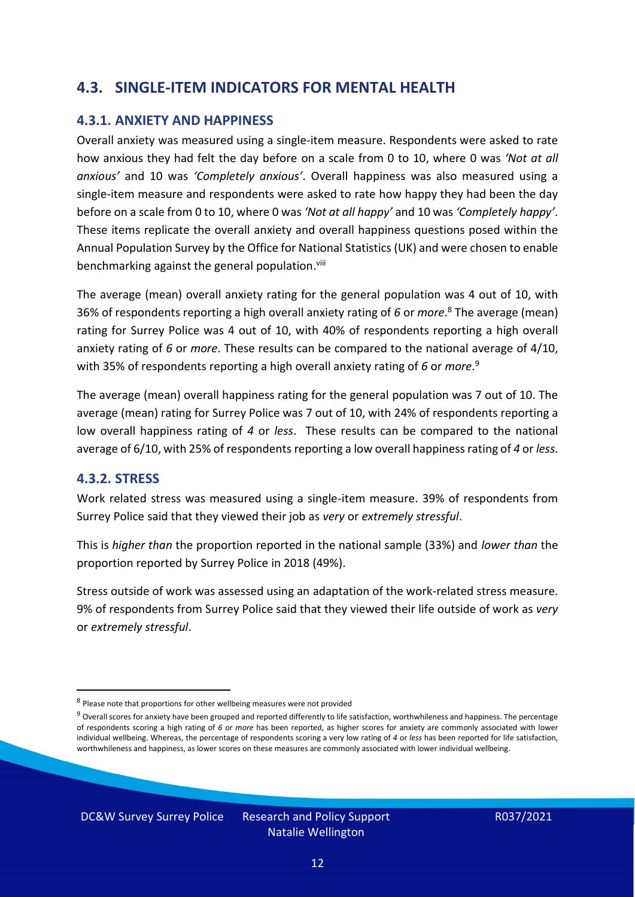### **4.3. SINGLE-ITEM INDICATORS FOR MENTAL HEALTH**

#### **4.3.1. ANXIETY AND HAPPINESS**

Overall anxiety was measured using a single-item measure. Respondents were asked to rate how anxious they had felt the day before on a scale from 0 to 10, where 0 was *'Not at all anxious'* and 10 was *'Completely anxious'*. Overall happiness was also measured using a single-item measure and respondents were asked to rate how happy they had been the day before on a scale from 0 to 10, where 0 was *'Not at all happy'* and 10 was *'Completely happy'*. These items replicate the overall anxiety and overall happiness questions posed within the Annual Population Survey by the Office for National Statistics (UK) and were chosen to enable benchmarking against the general population.<sup>viii</sup>

The average (mean) overall anxiety rating for the general population was 4 out of 10, with 36% of respondents reporting a high overall anxiety rating of *6* or *more*. <sup>8</sup> The average (mean) rating for Surrey Police was 4 out of 10, with 40% of respondents reporting a high overall anxiety rating of *6* or *more*. These results can be compared to the national average of 4/10, with 35% of respondents reporting a high overall anxiety rating of *6* or *more*. 9

The average (mean) overall happiness rating for the general population was 7 out of 10. The average (mean) rating for Surrey Police was 7 out of 10, with 24% of respondents reporting a low overall happiness rating of *4* or *less*. These results can be compared to the national average of 6/10, with 25% of respondents reporting a low overall happinessrating of *4* or *less*.

#### **4.3.2. STRESS**

Work related stress was measured using a single-item measure. 39% of respondents from Surrey Police said that they viewed their job as *very* or *extremely stressful*.

This is *higher than* the proportion reported in the national sample (33%) and *lower than* the proportion reported by Surrey Police in 2018 (49%).

Stress outside of work was assessed using an adaptation of the work-related stress measure. 9% of respondents from Surrey Police said that they viewed their life outside of work as *very* or *extremely stressful*.

DC&W Survey Surrey Police Research and Policy Support

<sup>&</sup>lt;sup>8</sup> Please note that proportions for other wellbeing measures were not provided

 $9$  Overall scores for anxiety have been grouped and reported differently to life satisfaction, worthwhileness and happiness. The percentage of respondents scoring a high rating of *6* or *more* has been reported, as higher scores for anxiety are commonly associated with lower individual wellbeing. Whereas, the percentage of respondents scoring a very low rating of *4* or *less* has been reported for life satisfaction, worthwhileness and happiness, as lower scores on these measures are commonly associated with lower individual wellbeing.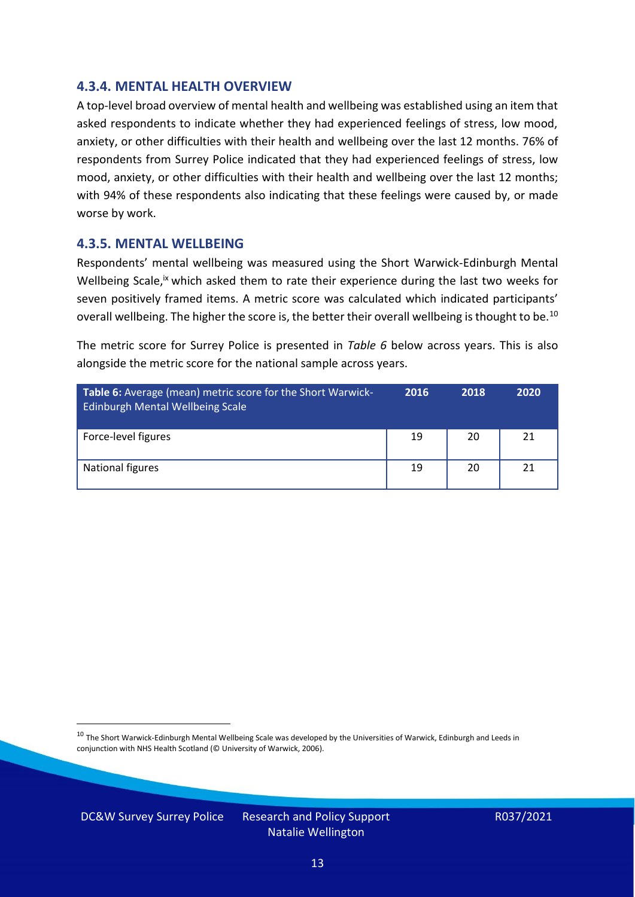#### **4.3.4. MENTAL HEALTH OVERVIEW**

A top-level broad overview of mental health and wellbeing was established using an item that asked respondents to indicate whether they had experienced feelings of stress, low mood, anxiety, or other difficulties with their health and wellbeing over the last 12 months. 76% of respondents from Surrey Police indicated that they had experienced feelings of stress, low mood, anxiety, or other difficulties with their health and wellbeing over the last 12 months; with 94% of these respondents also indicating that these feelings were caused by, or made worse by work.

#### **4.3.5. MENTAL WELLBEING**

Respondents' mental wellbeing was measured using the Short Warwick-Edinburgh Mental Wellbeing Scale,<sup>ix</sup> which asked them to rate their experience during the last two weeks for seven positively framed items. A metric score was calculated which indicated participants' overall wellbeing. The higher the score is, the better their overall wellbeing is thought to be.<sup>10</sup>

The metric score for Surrey Police is presented in *Table 6* below across years. This is also alongside the metric score for the national sample across years.

| <b>Table 6:</b> Average (mean) metric score for the Short Warwick-<br>Edinburgh Mental Wellbeing Scale | 2016 | 2018 | 2020 |
|--------------------------------------------------------------------------------------------------------|------|------|------|
| Force-level figures                                                                                    | 19   | 20   | 21   |
| National figures                                                                                       | 19   | 20   | 21   |

 $10$  The Short Warwick-Edinburgh Mental Wellbeing Scale was developed by the Universities of Warwick, Edinburgh and Leeds in conjunction with NHS Health Scotland (© University of Warwick, 2006).

DC&W Survey Surrey Police Research and Policy Support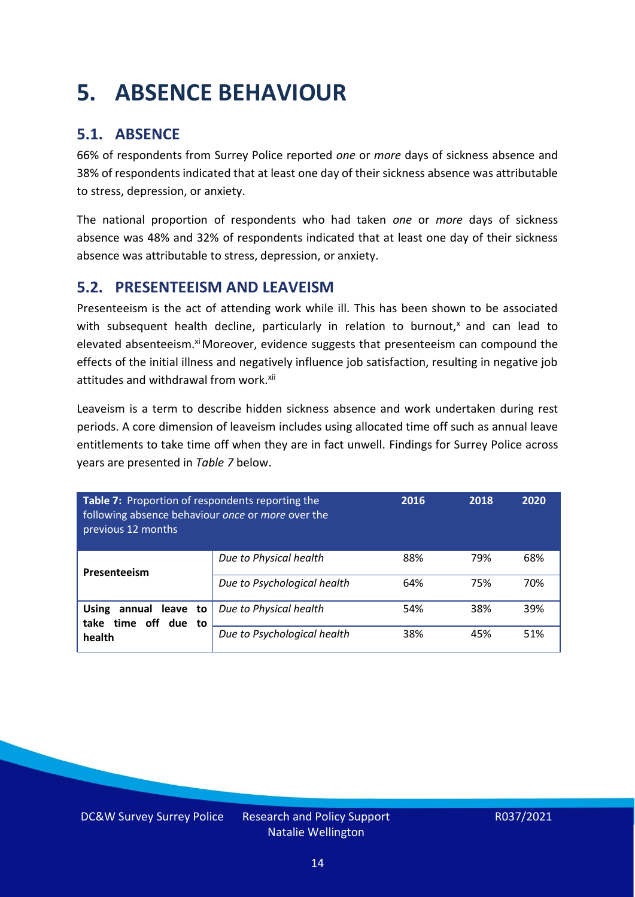### <span id="page-13-0"></span>**5. ABSENCE BEHAVIOUR**

### **5.1. ABSENCE**

66% of respondents from Surrey Police reported *one* or *more* days of sickness absence and 38% of respondents indicated that at least one day of their sickness absence was attributable to stress, depression, or anxiety.

The national proportion of respondents who had taken *one* or *more* days of sickness absence was 48% and 32% of respondents indicated that at least one day of their sickness absence was attributable to stress, depression, or anxiety.

### **5.2. PRESENTEEISM AND LEAVEISM**

Presenteeism is the act of attending work while ill. This has been shown to be associated with subsequent health decline, particularly in relation to burnout, $x$  and can lead to elevated absenteeism.<sup>xi</sup> Moreover, evidence suggests that presenteeism can compound the effects of the initial illness and negatively influence job satisfaction, resulting in negative job attitudes and withdrawal from work.<sup>xii</sup>

Leaveism is a term to describe hidden sickness absence and work undertaken during rest periods. A core dimension of leaveism includes using allocated time off such as annual leave entitlements to take time off when they are in fact unwell. Findings for Surrey Police across years are presented in *Table 7* below.

| Table 7: Proportion of respondents reporting the<br>following absence behaviour once or more over the<br>previous 12 months |                             | 2016 | 2018 | 2020 |
|-----------------------------------------------------------------------------------------------------------------------------|-----------------------------|------|------|------|
| Presenteeism                                                                                                                | Due to Physical health      | 88%  | 79%  | 68%  |
|                                                                                                                             | Due to Psychological health | 64%  | 75%  | 70%  |
| <b>Using</b><br>annual leave to<br>time off due to<br>take<br>health                                                        | Due to Physical health      | 54%  | 38%  | 39%  |
|                                                                                                                             | Due to Psychological health | 38%  | 45%  | 51%  |

DC&W Survey Surrey Police Research and Policy Support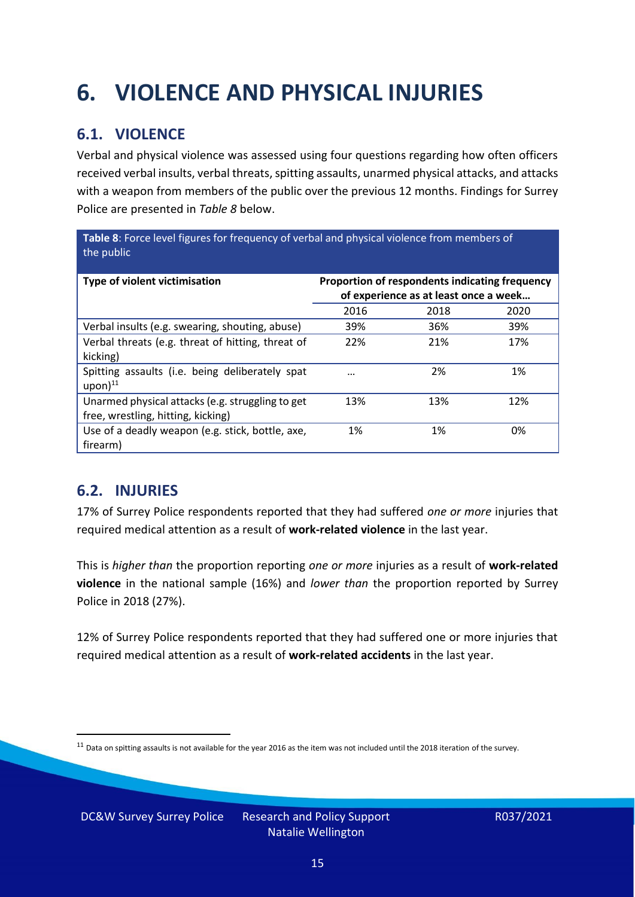## <span id="page-14-0"></span>**6. VIOLENCE AND PHYSICAL INJURIES**

### **6.1. VIOLENCE**

Verbal and physical violence was assessed using four questions regarding how often officers received verbal insults, verbal threats, spitting assaults, unarmed physical attacks, and attacks with a weapon from members of the public over the previous 12 months. Findings for Surrey Police are presented in *Table 8* below.

**Table 8**: Force level figures for frequency of verbal and physical violence from members of the public

| Type of violent victimisation                                                          | Proportion of respondents indicating frequency<br>of experience as at least once a week |      |      |
|----------------------------------------------------------------------------------------|-----------------------------------------------------------------------------------------|------|------|
|                                                                                        | 2016                                                                                    | 2018 | 2020 |
| Verbal insults (e.g. swearing, shouting, abuse)                                        | 39%                                                                                     | 36%  | 39%  |
| Verbal threats (e.g. threat of hitting, threat of<br>kicking)                          | 22%                                                                                     | 21%  | 17%  |
| Spitting assaults (i.e. being deliberately spat<br>$upon)$ <sup>11</sup>               |                                                                                         | 2%   | 1%   |
| Unarmed physical attacks (e.g. struggling to get<br>free, wrestling, hitting, kicking) | 13%                                                                                     | 13%  | 12%  |
| Use of a deadly weapon (e.g. stick, bottle, axe,<br>firearm)                           | 1%                                                                                      | 1%   | 0%   |

### **6.2. INJURIES**

17% of Surrey Police respondents reported that they had suffered *one or more* injuries that required medical attention as a result of **work-related violence** in the last year.

This is *higher than* the proportion reporting *one or more* injuries as a result of **work-related violence** in the national sample (16%) and *lower than* the proportion reported by Surrey Police in 2018 (27%).

12% of Surrey Police respondents reported that they had suffered one or more injuries that required medical attention as a result of **work-related accidents** in the last year.

DC&W Survey Surrey Police Research and Policy Support

 $11$  Data on spitting assaults is not available for the year 2016 as the item was not included until the 2018 iteration of the survey.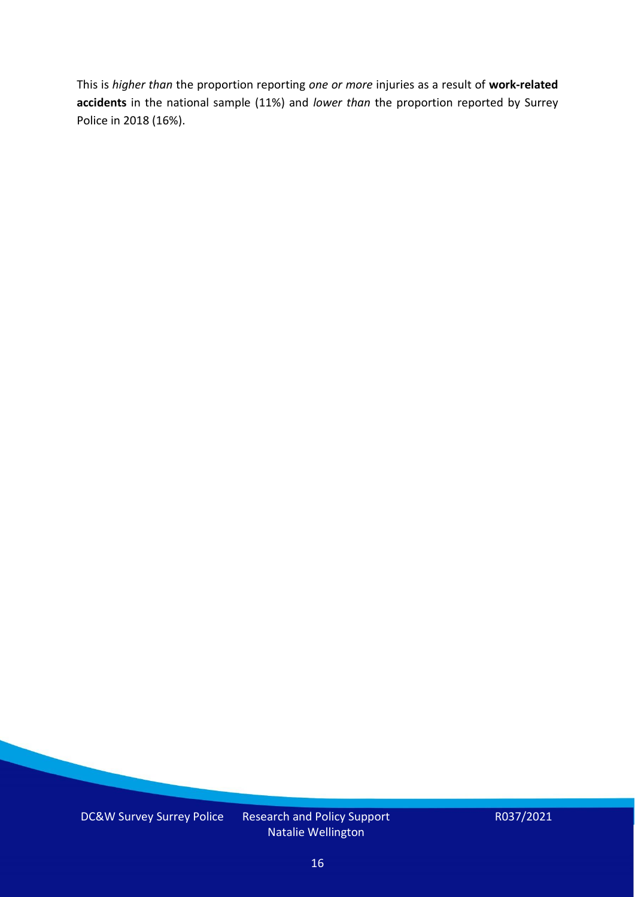This is *higher than* the proportion reporting *one or more* injuries as a result of **work-related accidents** in the national sample (11%) and *lower than* the proportion reported by Surrey Police in 2018 (16%).

DC&W Survey Surrey Police Research and Policy Support

Natalie Wellington

R037/2021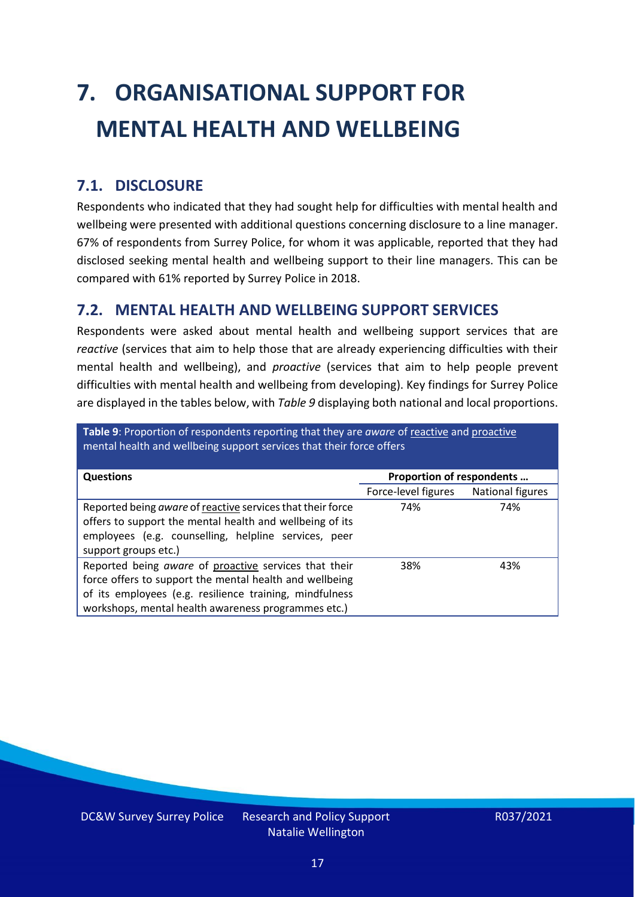# <span id="page-16-0"></span>**7. ORGANISATIONAL SUPPORT FOR MENTAL HEALTH AND WELLBEING**

### **7.1. DISCLOSURE**

Respondents who indicated that they had sought help for difficulties with mental health and wellbeing were presented with additional questions concerning disclosure to a line manager. 67% of respondents from Surrey Police, for whom it was applicable, reported that they had disclosed seeking mental health and wellbeing support to their line managers. This can be compared with 61% reported by Surrey Police in 2018.

### **7.2. MENTAL HEALTH AND WELLBEING SUPPORT SERVICES**

Respondents were asked about mental health and wellbeing support services that are *reactive* (services that aim to help those that are already experiencing difficulties with their mental health and wellbeing), and *proactive* (services that aim to help people prevent difficulties with mental health and wellbeing from developing). Key findings for Surrey Police are displayed in the tables below, with *Table 9* displaying both national and local proportions.

**Table 9**: Proportion of respondents reporting that they are *aware* of reactive and proactive mental health and wellbeing support services that their force offers

| <b>Questions</b>                                                                                                                                                                                                                   | Proportion of respondents |                  |
|------------------------------------------------------------------------------------------------------------------------------------------------------------------------------------------------------------------------------------|---------------------------|------------------|
|                                                                                                                                                                                                                                    | Force-level figures       | National figures |
| Reported being aware of reactive services that their force<br>offers to support the mental health and wellbeing of its<br>employees (e.g. counselling, helpline services, peer<br>support groups etc.)                             | 74%                       | 74%              |
| Reported being aware of proactive services that their<br>force offers to support the mental health and wellbeing<br>of its employees (e.g. resilience training, mindfulness<br>workshops, mental health awareness programmes etc.) | 38%                       | 43%              |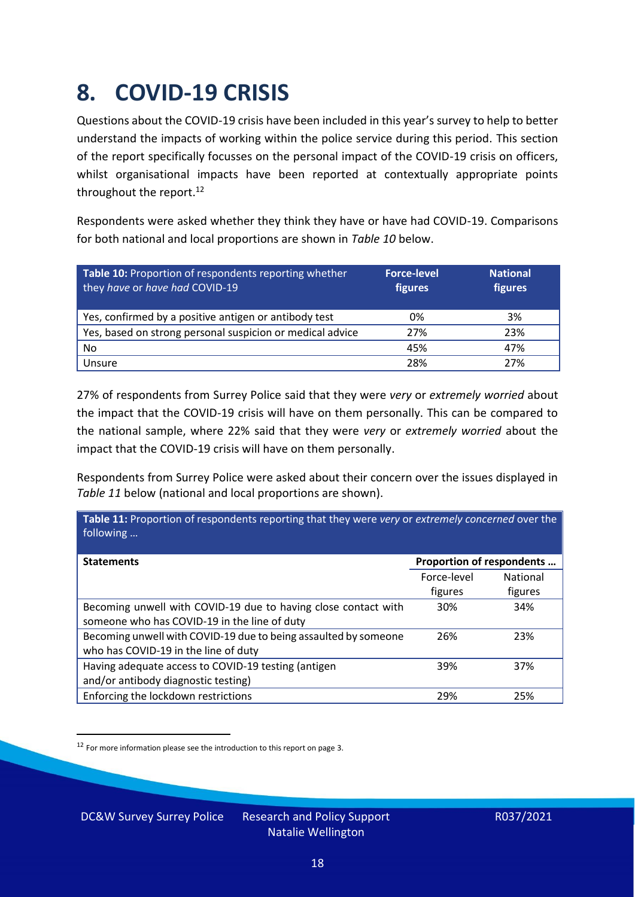### <span id="page-17-0"></span>**8. COVID-19 CRISIS**

Questions about the COVID-19 crisis have been included in this year's survey to help to better understand the impacts of working within the police service during this period. This section of the report specifically focusses on the personal impact of the COVID-19 crisis on officers, whilst organisational impacts have been reported at contextually appropriate points throughout the report.<sup>12</sup>

Respondents were asked whether they think they have or have had COVID-19. Comparisons for both national and local proportions are shown in *Table 10* below.

| Table 10: Proportion of respondents reporting whether<br>they have or have had COVID-19 | <b>Force-level</b><br>figures | <b>National</b><br>figures |
|-----------------------------------------------------------------------------------------|-------------------------------|----------------------------|
| Yes, confirmed by a positive antigen or antibody test                                   | 0%                            | 3%                         |
| Yes, based on strong personal suspicion or medical advice                               | 27%                           | 23%                        |
| No                                                                                      | 45%                           | 47%                        |
| Unsure                                                                                  | 28%                           | 27%                        |

27% of respondents from Surrey Police said that they were *very* or *extremely worried* about the impact that the COVID-19 crisis will have on them personally. This can be compared to the national sample, where 22% said that they were *very* or *extremely worried* about the impact that the COVID-19 crisis will have on them personally.

Respondents from Surrey Police were asked about their concern over the issues displayed in *Table 11* below (national and local proportions are shown).

| Table 11: Proportion of respondents reporting that they were very or extremely concerned over the<br>following |                           |                 |
|----------------------------------------------------------------------------------------------------------------|---------------------------|-----------------|
| <b>Statements</b>                                                                                              | Proportion of respondents |                 |
|                                                                                                                | Force-level               | <b>National</b> |
|                                                                                                                | figures                   | figures         |
| Becoming unwell with COVID-19 due to having close contact with<br>someone who has COVID-19 in the line of duty | 30%                       | 34%             |
| Becoming unwell with COVID-19 due to being assaulted by someone<br>who has COVID-19 in the line of duty        | 26%                       | 23%             |
| Having adequate access to COVID-19 testing (antigen<br>and/or antibody diagnostic testing)                     | 39%                       | 37%             |
| Enforcing the lockdown restrictions                                                                            | 29%                       | 25%             |

 $12$  For more information please see the introduction to this report on page 3.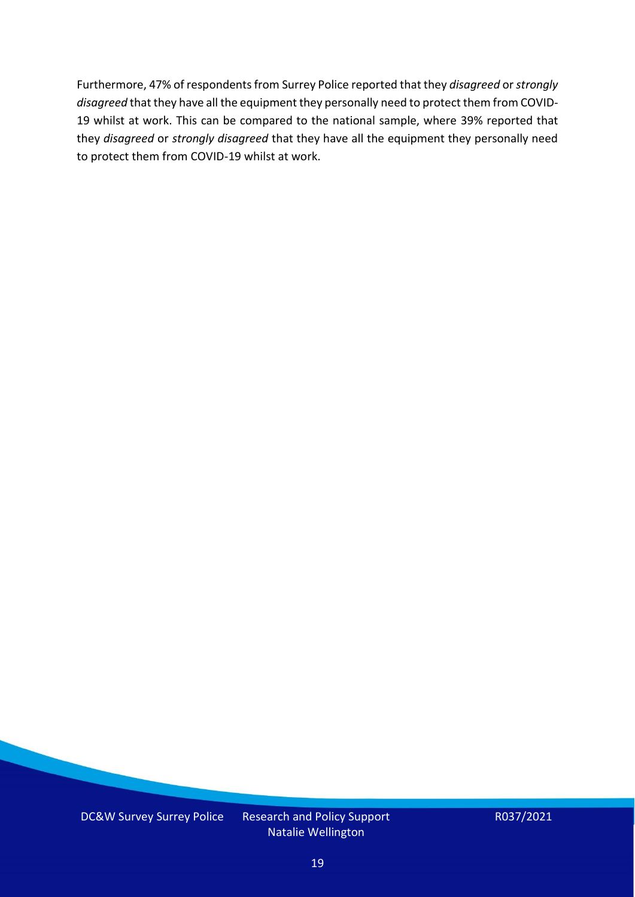Furthermore, 47% of respondents from Surrey Police reported that they *disagreed* or *strongly disagreed* that they have all the equipment they personally need to protect them from COVID-19 whilst at work. This can be compared to the national sample, where 39% reported that they *disagreed* or *strongly disagreed* that they have all the equipment they personally need to protect them from COVID-19 whilst at work.

DC&W Survey Surrey Police Research and Policy Support

Natalie Wellington

R037/2021